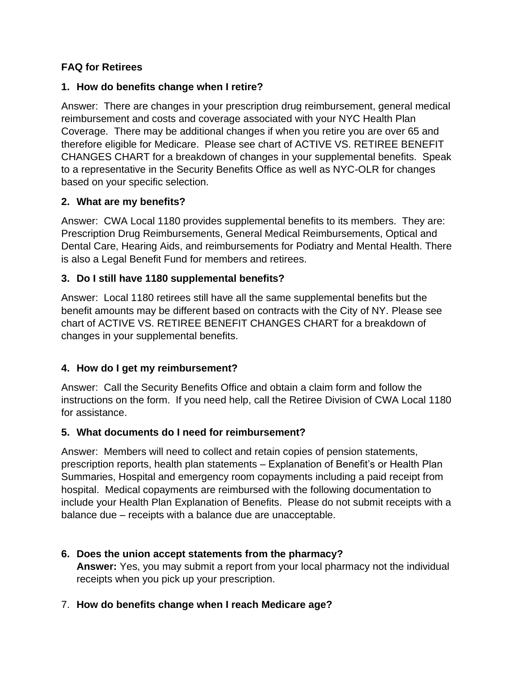## **FAQ for Retirees**

### **1. How do benefits change when I retire?**

Answer: There are changes in your prescription drug reimbursement, general medical reimbursement and costs and coverage associated with your NYC Health Plan Coverage. There may be additional changes if when you retire you are over 65 and therefore eligible for Medicare. Please see chart of ACTIVE VS. RETIREE BENEFIT CHANGES CHART for a breakdown of changes in your supplemental benefits. Speak to a representative in the Security Benefits Office as well as NYC-OLR for changes based on your specific selection.

## **2. What are my benefits?**

Answer: CWA Local 1180 provides supplemental benefits to its members. They are: Prescription Drug Reimbursements, General Medical Reimbursements, Optical and Dental Care, Hearing Aids, and reimbursements for Podiatry and Mental Health. There is also a Legal Benefit Fund for members and retirees.

## **3. Do I still have 1180 supplemental benefits?**

Answer: Local 1180 retirees still have all the same supplemental benefits but the benefit amounts may be different based on contracts with the City of NY. Please see chart of ACTIVE VS. RETIREE BENEFIT CHANGES CHART for a breakdown of changes in your supplemental benefits.

# **4. How do I get my reimbursement?**

Answer: Call the Security Benefits Office and obtain a claim form and follow the instructions on the form. If you need help, call the Retiree Division of CWA Local 1180 for assistance.

### **5. What documents do I need for reimbursement?**

Answer: Members will need to collect and retain copies of pension statements, prescription reports, health plan statements – Explanation of Benefit's or Health Plan Summaries, Hospital and emergency room copayments including a paid receipt from hospital. Medical copayments are reimbursed with the following documentation to include your Health Plan Explanation of Benefits. Please do not submit receipts with a balance due – receipts with a balance due are unacceptable.

## **6. Does the union accept statements from the pharmacy? Answer:** Yes, you may submit a report from your local pharmacy not the individual receipts when you pick up your prescription.

# 7. **How do benefits change when I reach Medicare age?**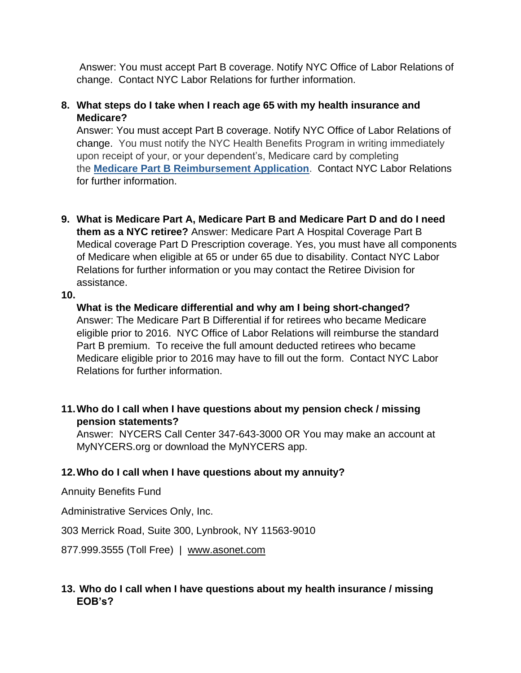Answer: You must accept Part B coverage. Notify NYC Office of Labor Relations of change. Contact NYC Labor Relations for further information.

### **8. What steps do I take when I reach age 65 with my health insurance and Medicare?**

Answer: You must accept Part B coverage. Notify NYC Office of Labor Relations of change. You must notify the NYC Health Benefits Program in writing immediately upon receipt of your, or your dependent's, Medicare card by completing the **[Medicare Part B Reimbursement Application](https://www1.nyc.gov/assets/olr/downloads/pdf/health/med-b-application.pdf)**. Contact NYC Labor Relations for further information.

**9. What is Medicare Part A, Medicare Part B and Medicare Part D and do I need them as a NYC retiree?** Answer: Medicare Part A Hospital Coverage Part B Medical coverage Part D Prescription coverage. Yes, you must have all components of Medicare when eligible at 65 or under 65 due to disability. Contact NYC Labor Relations for further information or you may contact the Retiree Division for assistance.

**10.**

**What is the Medicare differential and why am I being short-changed?** Answer: The Medicare Part B Differential if for retirees who became Medicare eligible prior to 2016. NYC Office of Labor Relations will reimburse the standard Part B premium. To receive the full amount deducted retirees who became Medicare eligible prior to 2016 may have to fill out the form. Contact NYC Labor Relations for further information.

## **11.Who do I call when I have questions about my pension check / missing pension statements?**

Answer: NYCERS Call Center 347-643-3000 OR You may make an account at MyNYCERS.org or download the MyNYCERS app.

# **12.Who do I call when I have questions about my annuity?**

Annuity Benefits Fund

Administrative Services Only, Inc.

303 Merrick Road, Suite 300, Lynbrook, NY 11563-9010

877.999.3555 (Toll Free) | [www.asonet.com](http://www.asonet.com/)

# **13. Who do I call when I have questions about my health insurance / missing EOB's?**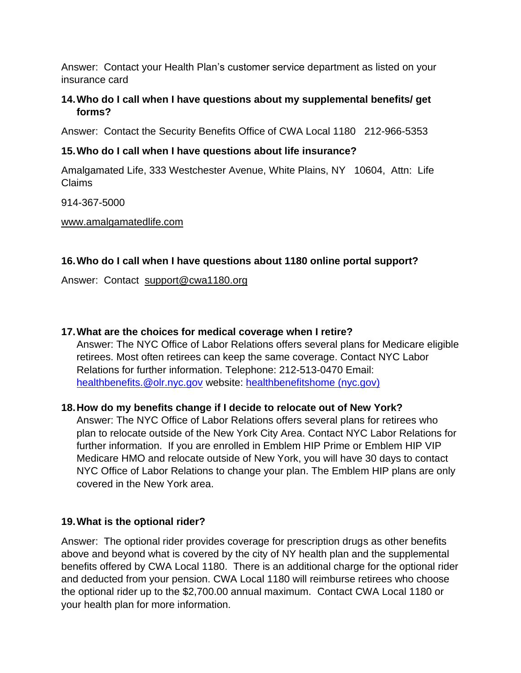Answer: Contact your Health Plan's customer service department as listed on your insurance card

### **14.Who do I call when I have questions about my supplemental benefits/ get forms?**

Answer: Contact the Security Benefits Office of CWA Local 1180 212-966-5353

## **15.Who do I call when I have questions about life insurance?**

Amalgamated Life, 333 Westchester Avenue, White Plains, NY 10604, Attn: Life Claims

914-367-5000

[www.amalgamatedlife.com](http://www.amalgamatedlife.com/)

## **16.Who do I call when I have questions about 1180 online portal support?**

Answer: Contact [support@cwa1180.org](mailto:support@cwa1180.org)

## **17.What are the choices for medical coverage when I retire?**

Answer: The NYC Office of Labor Relations offers several plans for Medicare eligible retirees. Most often retirees can keep the same coverage. Contact NYC Labor Relations for further information. Telephone: 212-513-0470 Email: [healthbenefits.@olr.nyc.gov](mailto:healthbenefits.@olr.nyc.gov) website: [healthbenefitshome \(nyc.gov\)](https://www1.nyc.gov/site/olr/health/healthhome.page)

### **18.How do my benefits change if I decide to relocate out of New York?**

Answer: The NYC Office of Labor Relations offers several plans for retirees who plan to relocate outside of the New York City Area. Contact NYC Labor Relations for further information. If you are enrolled in Emblem HIP Prime or Emblem HIP VIP Medicare HMO and relocate outside of New York, you will have 30 days to contact NYC Office of Labor Relations to change your plan. The Emblem HIP plans are only covered in the New York area.

### **19.What is the optional rider?**

Answer: The optional rider provides coverage for prescription drugs as other benefits above and beyond what is covered by the city of NY health plan and the supplemental benefits offered by CWA Local 1180. There is an additional charge for the optional rider and deducted from your pension. CWA Local 1180 will reimburse retirees who choose the optional rider up to the \$2,700.00 annual maximum. Contact CWA Local 1180 or your health plan for more information.